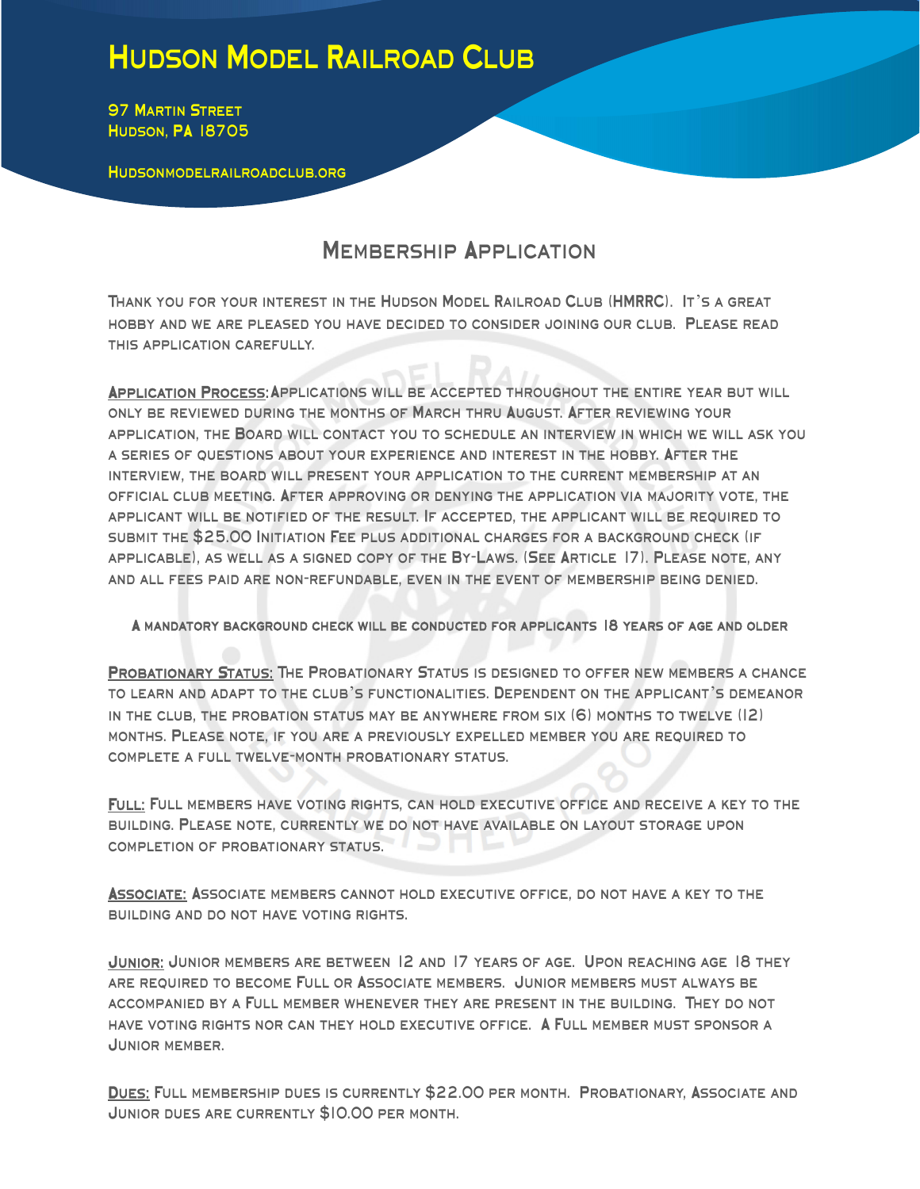## Hudson Model Railroad Club

**97 MARTIN STREET** Hudson, PA 18705

Hudsonmodelrailroadclub.org

## **MEMBERSHIP APPLICATION**

Thank you for your interest in the Hudson Model Railroad Club (HMRRC). It's a great hobby and we are pleased you have decided to consider joining our club. Please read this application carefully.

Application Process: Applications will be accepted throughout the entire year but will only be reviewed during the months of March thru August. After reviewing your application, the Board will contact you to schedule an interview in which we will ask you a series of questions about your experience and interest in the hobby. After the interview, the board will present your application to the current membership at an official club meeting. After approving or denying the application via majority vote, the applicant will be notified of the result. If accepted, the applicant will be required to submit the \$25.00 Initiation Fee plus additional charges for a background check (if applicable), as well as a signed copy of the By-Laws. (See Article 17). Please note, any and all fees paid are non-refundable, even in the event of membership being denied.

## A mandatory background check will be conducted for applicants 18 years of age and older

PROBATIONARY STATUS: THE PROBATIONARY STATUS IS DESIGNED TO OFFER NEW MEMBERS A CHANCE to learn and adapt to the club's functionalities. Dependent on the applicant's demeanor in the club, the probation status may be anywhere from six (6) months to twelve (12) months. Please note, if you are a previously expelled member you are required to complete a full twelve-month probationary status.

Full: Full members have voting rights, can hold executive office and receive a key to the building. Please note, currently we do not have available on layout storage upon completion of probationary status.

Associate: Associate members cannot hold executive office, do not have a key to the building and do not have voting rights.

JUNIOR: JUNIOR MEMBERS ARE BETWEEN 12 AND 17 YEARS OF AGE. UPON REACHING AGE 18 THEY are required to become Full or Associate members. Junior members must always be accompanied by a Full member whenever they are present in the building. They do not have voting rights nor can they hold executive office. A Full member must sponsor a Junior member.

Dues: Full membership dues is currently \$22.00 per month. Probationary, Associate and Junior dues are currently \$10.00 per month.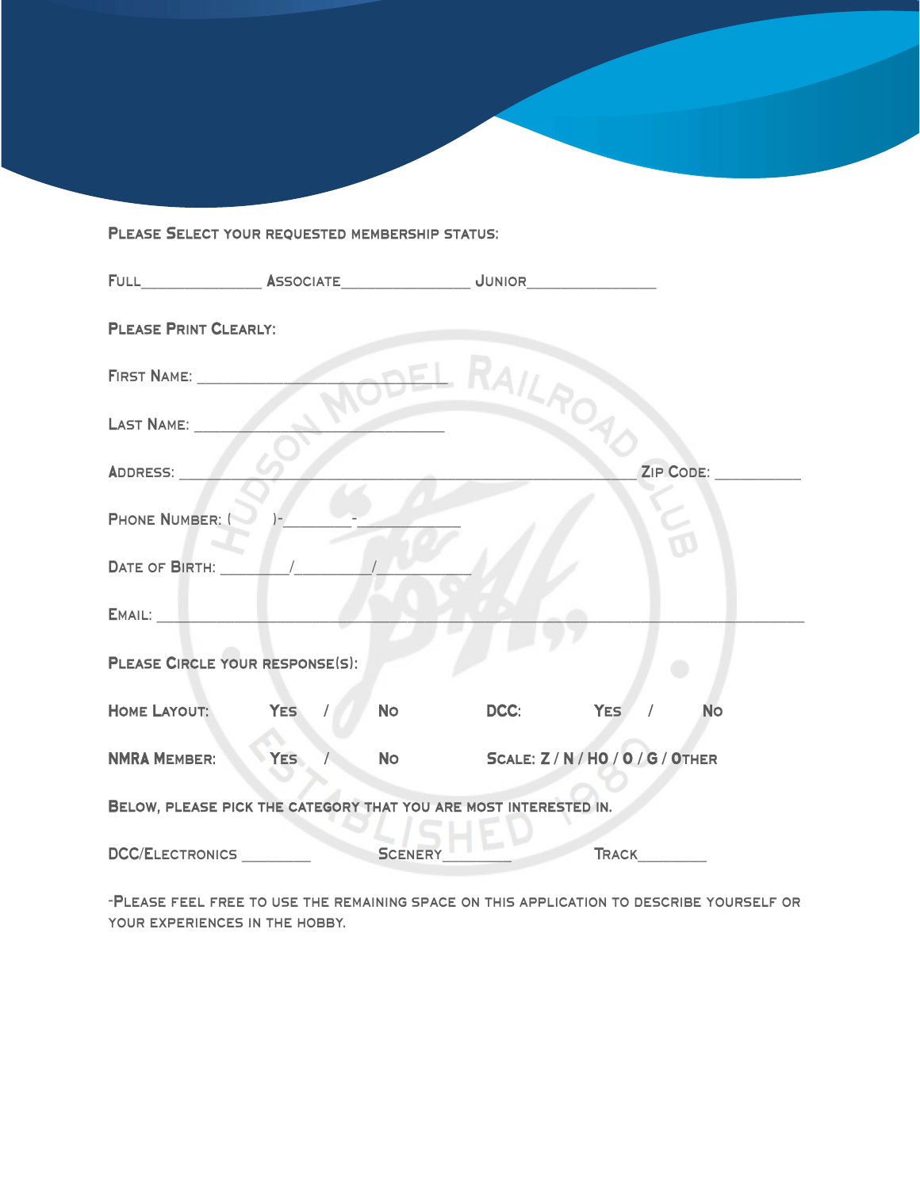## Please Select your requested membership status:

| <b>PLEASE PRINT CLEARLY:</b>                                     |            |  |                |                                      |          |  |                  |  |  |
|------------------------------------------------------------------|------------|--|----------------|--------------------------------------|----------|--|------------------|--|--|
| FIRST NAME:                                                      |            |  |                | -DEL RAILAO                          |          |  |                  |  |  |
| LAST NAME:                                                       |            |  |                |                                      |          |  |                  |  |  |
| ADDRESS:                                                         |            |  |                |                                      |          |  | <b>ZIP CODE:</b> |  |  |
| <b>PHONE NUMBER: (</b>                                           |            |  |                |                                      |          |  |                  |  |  |
| DATE OF BIRTH: $\sqrt{2.5}$                                      |            |  |                |                                      |          |  |                  |  |  |
|                                                                  |            |  |                |                                      |          |  |                  |  |  |
| PLEASE CIRCLE YOUR RESPONSE(S):                                  |            |  |                |                                      |          |  |                  |  |  |
| HOME LAYOUT: YES /                                               |            |  | <b>No</b>      | DCC:                                 | YES / No |  |                  |  |  |
| <b>NMRA MEMBER:</b>                                              | <b>YES</b> |  |                | NO SCALE: Z / N / HO / O / G / OTHER |          |  |                  |  |  |
| BELOW, PLEASE PICK THE CATEGORY THAT YOU ARE MOST INTERESTED IN. |            |  |                |                                      |          |  |                  |  |  |
| DCC/ELECTRONICS                                                  |            |  | <b>SCENERY</b> |                                      |          |  |                  |  |  |

-Please feel free to use the remaining space on this application to describe yourself or YOUR EXPERIENCES IN THE HOBBY.